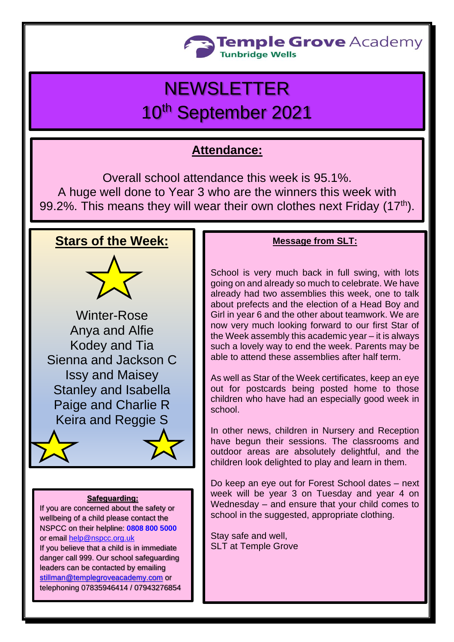

# **NEWSLETTER** 10th September 2021

# **Attendance:**

Overall school attendance this week is 95.1%. A huge well done to Year 3 who are the winners this week with 99.2%. This means they will wear their own clothes next Friday (17<sup>th</sup>).

### **Stars of the Week:**



Winter-Rose Anya and Alfie Kodey and Tia Sienna and Jackson C Issy and Maisey Stanley and Isabella Paige and Charlie R Keira and Reggie S

#### **Safeguarding:**

If you are concerned about the safety or wellbeing of a child please contact the NSPCC on their helpline: **[0808 800 5000](tel:08088005000)** or email [help@nspcc.org.uk](mailto:help@nspcc.org.uk) If you believe that a child is in immediate danger call 999. Our school safeguarding leaders can be contacted by emailing [stillman@templegroveacademy.com](mailto:stillman@templegroveacademy.com) or

telephoning 07835946414 / 07943276854

#### **Message from SLT:**

School is very much back in full swing, with lots going on and already so much to celebrate. We have already had two assemblies this week, one to talk about prefects and the election of a Head Boy and Girl in year 6 and the other about teamwork. We are now very much looking forward to our first Star of the Week assembly this academic year – it is always such a lovely way to end the week. Parents may be able to attend these assemblies after half term.

As well as Star of the Week certificates, keep an eye out for postcards being posted home to those children who have had an especially good week in school.

In other news, children in Nursery and Reception have begun their sessions. The classrooms and outdoor areas are absolutely delightful, and the children look delighted to play and learn in them.

Do keep an eye out for Forest School dates – next week will be year 3 on Tuesday and year 4 on Wednesday – and ensure that your child comes to school in the suggested, appropriate clothing.

Stay safe and well, SLT at Temple Grove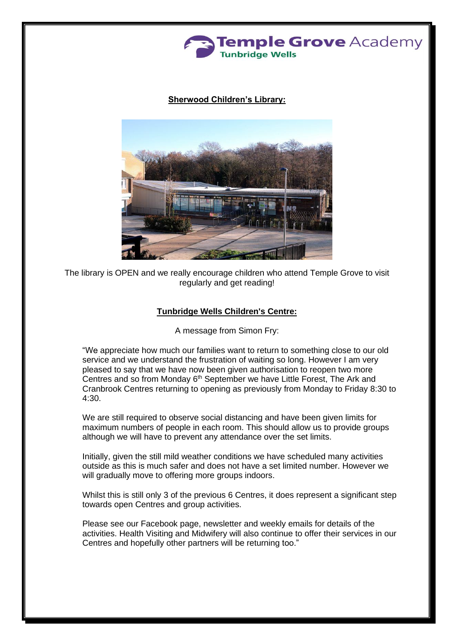

#### **Sherwood Children's Library:**



The library is OPEN and we really encourage children who attend Temple Grove to visit regularly and get reading!

#### **Tunbridge Wells Children's Centre:**

A message from Simon Fry:

"We appreciate how much our families want to return to something close to our old service and we understand the frustration of waiting so long. However I am very pleased to say that we have now been given authorisation to reopen two more Centres and so from Monday 6<sup>th</sup> September we have Little Forest, The Ark and Cranbrook Centres returning to opening as previously from Monday to Friday 8:30 to 4:30.

We are still required to observe social distancing and have been given limits for maximum numbers of people in each room. This should allow us to provide groups although we will have to prevent any attendance over the set limits.

Initially, given the still mild weather conditions we have scheduled many activities outside as this is much safer and does not have a set limited number. However we will gradually move to offering more groups indoors.

Whilst this is still only 3 of the previous 6 Centres, it does represent a significant step towards open Centres and group activities.

Please see our Facebook page, newsletter and weekly emails for details of the activities. Health Visiting and Midwifery will also continue to offer their services in our Centres and hopefully other partners will be returning too."